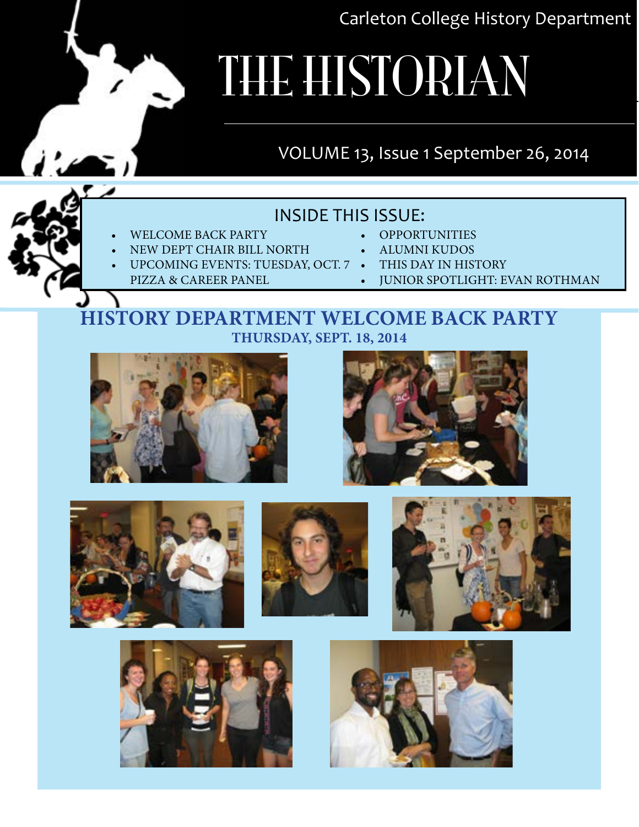Carleton College History Department

# THE HISTORIAN

# VOLUME 13, Issue 1 September 26, 2014

### INSIDE THIS ISSUE:

- WELCOME BACK PARTY
- NEW DEPT CHAIR BILL NORTH
- UPCOMING EVENTS: TUESDAY, OCT. 7 THIS DAY IN HIST
	- Pizza & Career Panel
- OPPORTUNITIES
- alumni kudos
- 
- Junior Spotlight: evan rothman

### **history department welcome back party Thursday, Sept. 18, 2014**













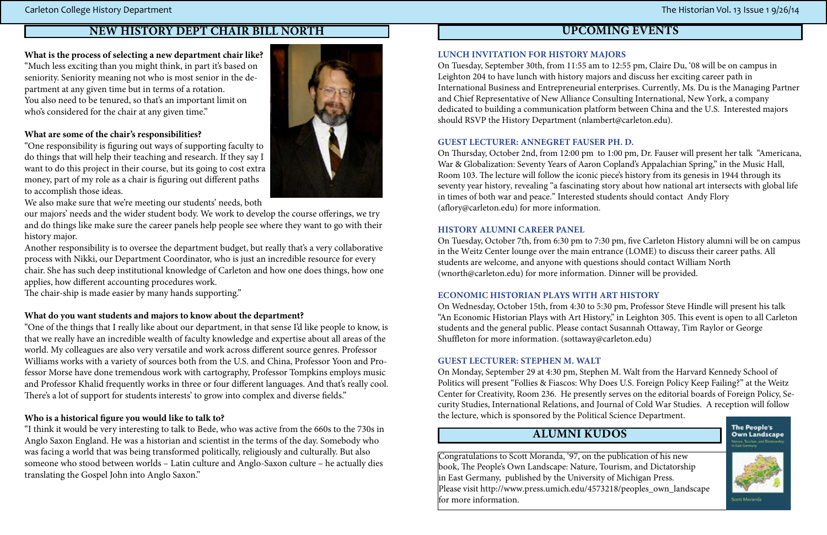### **Alumni kudos**

Congratulations to Scott Moranda, '97, on the publication of his new book, The People's Own Landscape: Nature, Tourism, and Dictatorship in East Germany, published by the University of Michigan Press. Please visit http://www.press.umich.edu/4573218/peoples\_own\_landscape for more information.



#### **What is the process of selecting a new department chair like?** "Much less exciting than you might think, in part it's based on seniority. Seniority meaning not who is most senior in the department at any given time but in terms of a rotation. You also need to be tenured, so that's an important limit on who's considered for the chair at any given time."



#### **What are some of the chair's responsibilities?**

"One responsibility is figuring out ways of supporting faculty to do things that will help their teaching and research. If they say I want to do this project in their course, but its going to cost extra money, part of my role as a chair is figuring out different paths to accomplish those ideas.

We also make sure that we're meeting our students' needs, both

our majors' needs and the wider student body. We work to develop the course offerings, we try and do things like make sure the career panels help people see where they want to go with their history major.

Another responsibility is to oversee the department budget, but really that's a very collaborative process with Nikki, our Department Coordinator, who is just an incredible resource for every chair. She has such deep institutional knowledge of Carleton and how one does things, how one applies, how different accounting procedures work.

The chair-ship is made easier by many hands supporting."

#### **What do you want students and majors to know about the department?**

On Thursday, October 2nd, from 12:00 pm to 1:00 pm, Dr. Fauser will present her talk "Americana, War & Globalization: Seventy Years of Aaron Copland's Appalachian Spring," in the Music Hall, Room 103. The lecture will follow the iconic piece's history from its genesis in 1944 through its seventy year history, revealing "a fascinating story about how national art intersects with global life in times of both war and peace." interested students should contact Andy Flory (aflory@carleton.edu) for more information.

On Tuesday, October 7th, from 6:30 pm to 7:30 pm, five Carleton history alumni will be on campus in the Weitz Center lounge over the main entrance (LOME) to discuss their career paths. All students are welcome, and anyone with questions should contact William North (wnorth@carleton.edu) for more information. Dinner will be provided.

"One of the things that I really like about our department, in that sense I'd like people to know, is that we really have an incredible wealth of faculty knowledge and expertise about all areas of the world. My colleagues are also very versatile and work across different source genres. Professor Williams works with a variety of sources both from the U.S. and China, Professor Yoon and Professor Morse have done tremendous work with cartography, Professor Tompkins employs music and Professor Khalid frequently works in three or four different languages. And that's really cool. There's a lot of support for students interests' to grow into complex and diverse fields."

On Monday, september 29 at 4:30 pm, stephen M. Walt from the harvard Kennedy school of Politics will present "Follies & Fiascos: Why Does U.S. Foreign Policy Keep Failing?" at the Weitz Center for Creativity, Room 236. he presently serves on the editorial boards of Foreign Policy, security studies, international Relations, and Journal of Cold War studies. A reception will follow the lecture, which is sponsored by the Political Science Department.

#### **Who is a historical figure you would like to talk to?**

"I think it would be very interesting to talk to Bede, who was active from the 660s to the 730s in Anglo Saxon England. He was a historian and scientist in the terms of the day. Somebody who was facing a world that was being transformed politically, religiously and culturally. But also someone who stood between worlds – Latin culture and Anglo-Saxon culture – he actually dies translating the Gospel John into Anglo Saxon."

#### **lunch invitation for history majors**

On Tuesday, September 30th, from 11:55 am to 12:55 pm, Claire Du, '08 will be on campus in Leighton 204 to have lunch with history majors and discuss her exciting career path in International Business and Entrepreneurial enterprises. Currently, Ms. Du is the Managing Partner and Chief Representative of New Alliance Consulting International, New York, a company dedicated to building a communication platform between China and the U.S. Interested majors should RSVP the History Department (nlambert@carleton.edu).

#### **Guest lecturer: anneGret fauser ph. d.**

#### **history alumni career panel**

#### **economic historian plays with art history**

On Wednesday, October 15th, from 4:30 to 5:30 pm, Professor steve hindle will present his talk "An Economic Historian Plays with Art History," in Leighton 305. This event is open to all Carleton students and the general public. Please contact Susannah Ottaway, Tim Raylor or George shuffleton for more information. (sottaway@carleton.edu)

#### **Guest lecturer: stephen m. walt**

### **New History Dept Chair Bill North upcoming events**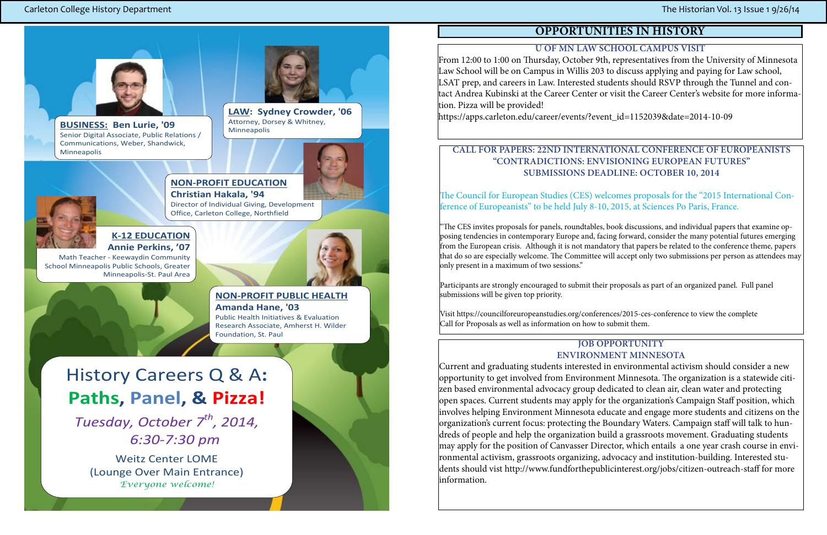#### **Job Opportunity Environment Minnesota**

Current and graduating students interested in environmental activism should consider a new opportunity to get involved from Environment Minnesota. The organization is a statewide citizen based environmental advocacy group dedicated to clean air, clean water and protecting open spaces. Current students may apply for the organization's Campaign Staff position, which involves helping Environment Minnesota educate and engage more students and citizens on the organization's current focus: protecting the Boundary Waters. Campaign staff will talk to hundreds of people and help the organization build a grassroots movement. Graduating students may apply for the position of Canvasser Director, which entails a one year crash course in environmental activism, grassroots organizing, advocacy and institution-building. Interested students should vist http://www.fundforthepublicinterest.org/jobs/citizen-outreach-staff for more information.

# **OPPORTUNITIES IN HISTORY**

#### **U of MN Law School Campus Visit**

From 12:00 to 1:00 on Thursday, October 9th, representatives from the University of Minnesota Law School will be on Campus in Willis 203 to discuss applying and paying for Law school, LSAT prep, and careers in Law. Interested students should RSVP through the Tunnel and contact Andrea Kubinski at the Career Center or visit the Career Center's website for more information. Pizza will be provided! https://apps.carleton.edu/career/events/?event\_id=1152039&date=2014-10-09

Tuesday, October 7<sup>th</sup>, 2014, *6:30-7:30 pm*

#### **Call for Papers: 22nd International Conference of Europeanists "Contradictions: Envisioning European Futures" Submissions Deadline: October 10, 2014**

The Council for European Studies (CES) welcomes proposals for the "2015 International Con-

# ference of Europeanists" to be held July 8-10, 2015, at Sciences Po Paris, France.

"The CES invites proposals for panels, roundtables, book discussions, and individual papers that examine opposing tendencies in contemporary Europe and, facing forward, consider the many potential futures emerging from the European crisis. Although it is not mandatory that papers be related to the conference theme, papers that do so are especially welcome. The Committee will accept only two submissions per person as attendees may only present in a maximum of two sessions."

Participants are strongly encouraged to submit their proposals as part of an organized panel. Full panel submissions will be given top priority.

Visit https://councilforeuropeanstudies.org/conferences/2015-ces-conference to view the complete Call for Proposals as well as information on how to submit them.

# History Careers Q & A**: Paths, Panel, & Pizza!**

Weitz Center LOME (Lounge Over Main Entrance) *Everyone welcome!* 

**'**

#### **NON-PROFIT EDUCATION Christian Hakala, '94**

Director of Individual Giving, Development Office, Carleton College, Northfield

#### Carleton College History Department **The Historian Vol. 13** Issue 1 9/26/14



**BUSINESS: Ben Lurie, '09**  Senior Digital Associate, Public Relations / Communications, Weber, Shandwick, Minneapolis



#### **K-12 EDUCATION Annie Perkins, '07**

Math Teacher - Keewaydin Community School Minneapolis Public Schools, Greater Minneapolis-St. Paul Area



**LAW: Sydney Crowder, '06** Attorney, Dorsey & Whitney, Minneapolis





#### **NON-PROFIT PUBLIC HEALTH**

**Amanda Hane, '03**  Public Health Initiatives & Evaluation Research Associate, Amherst H. Wilder Foundation, St. Paul